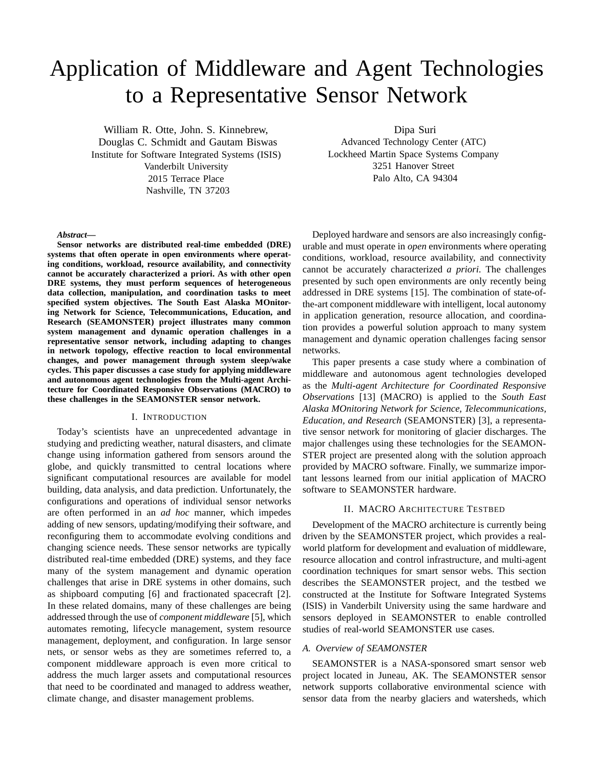# Application of Middleware and Agent Technologies to a Representative Sensor Network

William R. Otte, John. S. Kinnebrew, Douglas C. Schmidt and Gautam Biswas Institute for Software Integrated Systems (ISIS) Vanderbilt University 2015 Terrace Place Nashville, TN 37203

Dipa Suri

Advanced Technology Center (ATC) Lockheed Martin Space Systems Company 3251 Hanover Street Palo Alto, CA 94304

#### *Abstract***—**

**Sensor networks are distributed real-time embedded (DRE) systems that often operate in open environments where operating conditions, workload, resource availability, and connectivity cannot be accurately characterized a priori. As with other open DRE systems, they must perform sequences of heterogeneous data collection, manipulation, and coordination tasks to meet specified system objectives. The South East Alaska MOnitoring Network for Science, Telecommunications, Education, and Research (SEAMONSTER) project illustrates many common system management and dynamic operation challenges in a representative sensor network, including adapting to changes in network topology, effective reaction to local environmental changes, and power management through system sleep/wake cycles. This paper discusses a case study for applying middleware and autonomous agent technologies from the Multi-agent Architecture for Coordinated Responsive Observations (MACRO) to these challenges in the SEAMONSTER sensor network.**

## I. INTRODUCTION

Today's scientists have an unprecedented advantage in studying and predicting weather, natural disasters, and climate change using information gathered from sensors around the globe, and quickly transmitted to central locations where significant computational resources are available for model building, data analysis, and data prediction. Unfortunately, the configurations and operations of individual sensor networks are often performed in an *ad hoc* manner, which impedes adding of new sensors, updating/modifying their software, and reconfiguring them to accommodate evolving conditions and changing science needs. These sensor networks are typically distributed real-time embedded (DRE) systems, and they face many of the system management and dynamic operation challenges that arise in DRE systems in other domains, such as shipboard computing [6] and fractionated spacecraft [2]. In these related domains, many of these challenges are being addressed through the use of *component middleware* [5], which automates remoting, lifecycle management, system resource management, deployment, and configuration. In large sensor nets, or sensor webs as they are sometimes referred to, a component middleware approach is even more critical to address the much larger assets and computational resources that need to be coordinated and managed to address weather, climate change, and disaster management problems.

Deployed hardware and sensors are also increasingly configurable and must operate in *open* environments where operating conditions, workload, resource availability, and connectivity cannot be accurately characterized *a priori*. The challenges presented by such open environments are only recently being addressed in DRE systems [15]. The combination of state-ofthe-art component middleware with intelligent, local autonomy in application generation, resource allocation, and coordination provides a powerful solution approach to many system management and dynamic operation challenges facing sensor networks.

This paper presents a case study where a combination of middleware and autonomous agent technologies developed as the *Multi-agent Architecture for Coordinated Responsive Observations* [13] (MACRO) is applied to the *South East Alaska MOnitoring Network for Science, Telecommunications, Education, and Research* (SEAMONSTER) [3], a representative sensor network for monitoring of glacier discharges. The major challenges using these technologies for the SEAMON-STER project are presented along with the solution approach provided by MACRO software. Finally, we summarize important lessons learned from our initial application of MACRO software to SEAMONSTER hardware.

#### II. MACRO ARCHITECTURE TESTBED

Development of the MACRO architecture is currently being driven by the SEAMONSTER project, which provides a realworld platform for development and evaluation of middleware, resource allocation and control infrastructure, and multi-agent coordination techniques for smart sensor webs. This section describes the SEAMONSTER project, and the testbed we constructed at the Institute for Software Integrated Systems (ISIS) in Vanderbilt University using the same hardware and sensors deployed in SEAMONSTER to enable controlled studies of real-world SEAMONSTER use cases.

# *A. Overview of SEAMONSTER*

SEAMONSTER is a NASA-sponsored smart sensor web project located in Juneau, AK. The SEAMONSTER sensor network supports collaborative environmental science with sensor data from the nearby glaciers and watersheds, which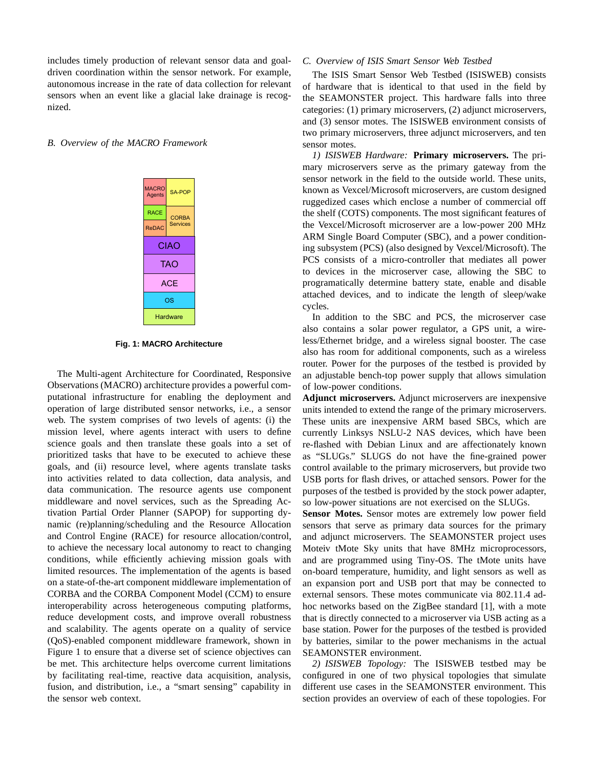includes timely production of relevant sensor data and goaldriven coordination within the sensor network. For example, autonomous increase in the rate of data collection for relevant sensors when an event like a glacial lake drainage is recognized.

### *B. Overview of the MACRO Framework*

| <b>MACRO</b><br><b>Agents</b> | SA-POP                          |
|-------------------------------|---------------------------------|
| <b>RACE</b>                   | <b>CORBA</b><br><b>Services</b> |
| ReDAC                         |                                 |
| CIAO                          |                                 |
| TAO                           |                                 |
| <b>ACE</b>                    |                                 |
| ΟS                            |                                 |
| Hardware                      |                                 |

#### **Fig. 1: MACRO Architecture**

The Multi-agent Architecture for Coordinated, Responsive Observations (MACRO) architecture provides a powerful computational infrastructure for enabling the deployment and operation of large distributed sensor networks, i.e., a sensor web. The system comprises of two levels of agents: (i) the mission level, where agents interact with users to define science goals and then translate these goals into a set of prioritized tasks that have to be executed to achieve these goals, and (ii) resource level, where agents translate tasks into activities related to data collection, data analysis, and data communication. The resource agents use component middleware and novel services, such as the Spreading Activation Partial Order Planner (SAPOP) for supporting dynamic (re)planning/scheduling and the Resource Allocation and Control Engine (RACE) for resource allocation/control, to achieve the necessary local autonomy to react to changing conditions, while efficiently achieving mission goals with limited resources. The implementation of the agents is based on a state-of-the-art component middleware implementation of CORBA and the CORBA Component Model (CCM) to ensure interoperability across heterogeneous computing platforms, reduce development costs, and improve overall robustness and scalability. The agents operate on a quality of service (QoS)-enabled component middleware framework, shown in Figure 1 to ensure that a diverse set of science objectives can be met. This architecture helps overcome current limitations by facilitating real-time, reactive data acquisition, analysis, fusion, and distribution, i.e., a "smart sensing" capability in the sensor web context.

#### *C. Overview of ISIS Smart Sensor Web Testbed*

The ISIS Smart Sensor Web Testbed (ISISWEB) consists of hardware that is identical to that used in the field by the SEAMONSTER project. This hardware falls into three categories: (1) primary microservers, (2) adjunct microservers, and (3) sensor motes. The ISISWEB environment consists of two primary microservers, three adjunct microservers, and ten sensor motes.

*1) ISISWEB Hardware:* **Primary microservers.** The primary microservers serve as the primary gateway from the sensor network in the field to the outside world. These units, known as Vexcel/Microsoft microservers, are custom designed ruggedized cases which enclose a number of commercial off the shelf (COTS) components. The most significant features of the Vexcel/Microsoft microserver are a low-power 200 MHz ARM Single Board Computer (SBC), and a power conditioning subsystem (PCS) (also designed by Vexcel/Microsoft). The PCS consists of a micro-controller that mediates all power to devices in the microserver case, allowing the SBC to programatically determine battery state, enable and disable attached devices, and to indicate the length of sleep/wake cycles.

In addition to the SBC and PCS, the microserver case also contains a solar power regulator, a GPS unit, a wireless/Ethernet bridge, and a wireless signal booster. The case also has room for additional components, such as a wireless router. Power for the purposes of the testbed is provided by an adjustable bench-top power supply that allows simulation of low-power conditions.

**Adjunct microservers.** Adjunct microservers are inexpensive units intended to extend the range of the primary microservers. These units are inexpensive ARM based SBCs, which are currently Linksys NSLU-2 NAS devices, which have been re-flashed with Debian Linux and are affectionately known as "SLUGs." SLUGS do not have the fine-grained power control available to the primary microservers, but provide two USB ports for flash drives, or attached sensors. Power for the purposes of the testbed is provided by the stock power adapter, so low-power situations are not exercised on the SLUGs.

**Sensor Motes.** Sensor motes are extremely low power field sensors that serve as primary data sources for the primary and adjunct microservers. The SEAMONSTER project uses Moteiv tMote Sky units that have 8MHz microprocessors, and are programmed using Tiny-OS. The tMote units have on-board temperature, humidity, and light sensors as well as an expansion port and USB port that may be connected to external sensors. These motes communicate via 802.11.4 adhoc networks based on the ZigBee standard [1], with a mote that is directly connected to a microserver via USB acting as a base station. Power for the purposes of the testbed is provided by batteries, similar to the power mechanisms in the actual SEAMONSTER environment.

*2) ISISWEB Topology:* The ISISWEB testbed may be configured in one of two physical topologies that simulate different use cases in the SEAMONSTER environment. This section provides an overview of each of these topologies. For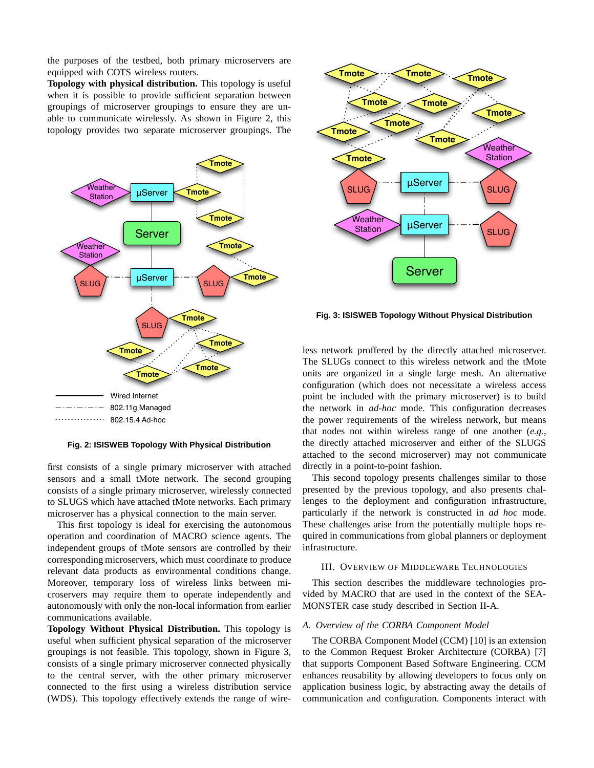the purposes of the testbed, both primary microservers are equipped with COTS wireless routers.

**Topology with physical distribution.** This topology is useful when it is possible to provide sufficient separation between groupings of microserver groupings to ensure they are unable to communicate wirelessly. As shown in Figure 2, this topology provides two separate microserver groupings. The



#### **Fig. 2: ISISWEB Topology With Physical Distribution**

first consists of a single primary microserver with attached sensors and a small tMote network. The second grouping consists of a single primary microserver, wirelessly connected to SLUGS which have attached tMote networks. Each primary microserver has a physical connection to the main server.

This first topology is ideal for exercising the autonomous operation and coordination of MACRO science agents. The independent groups of tMote sensors are controlled by their corresponding microservers, which must coordinate to produce relevant data products as environmental conditions change. Moreover, temporary loss of wireless links between microservers may require them to operate independently and autonomously with only the non-local information from earlier communications available.

**Topology Without Physical Distribution.** This topology is useful when sufficient physical separation of the microserver groupings is not feasible. This topology, shown in Figure 3, consists of a single primary microserver connected physically to the central server, with the other primary microserver connected to the first using a wireless distribution service (WDS). This topology effectively extends the range of wire-



**Fig. 3: ISISWEB Topology Without Physical Distribution**

less network proffered by the directly attached microserver. The SLUGs connect to this wireless network and the tMote units are organized in a single large mesh. An alternative configuration (which does not necessitate a wireless access point be included with the primary microserver) is to build the network in *ad-hoc* mode. This configuration decreases the power requirements of the wireless network, but means that nodes not within wireless range of one another (*e.g.*, the directly attached microserver and either of the SLUGS attached to the second microserver) may not communicate directly in a point-to-point fashion.

This second topology presents challenges similar to those presented by the previous topology, and also presents challenges to the deployment and configuration infrastructure, particularly if the network is constructed in *ad hoc* mode. These challenges arise from the potentially multiple hops required in communications from global planners or deployment infrastructure.

# III. OVERVIEW OF MIDDLEWARE TECHNOLOGIES

This section describes the middleware technologies provided by MACRO that are used in the context of the SEA-MONSTER case study described in Section II-A.

## *A. Overview of the CORBA Component Model*

The CORBA Component Model (CCM) [10] is an extension to the Common Request Broker Architecture (CORBA) [7] that supports Component Based Software Engineering. CCM enhances reusability by allowing developers to focus only on application business logic, by abstracting away the details of communication and configuration. Components interact with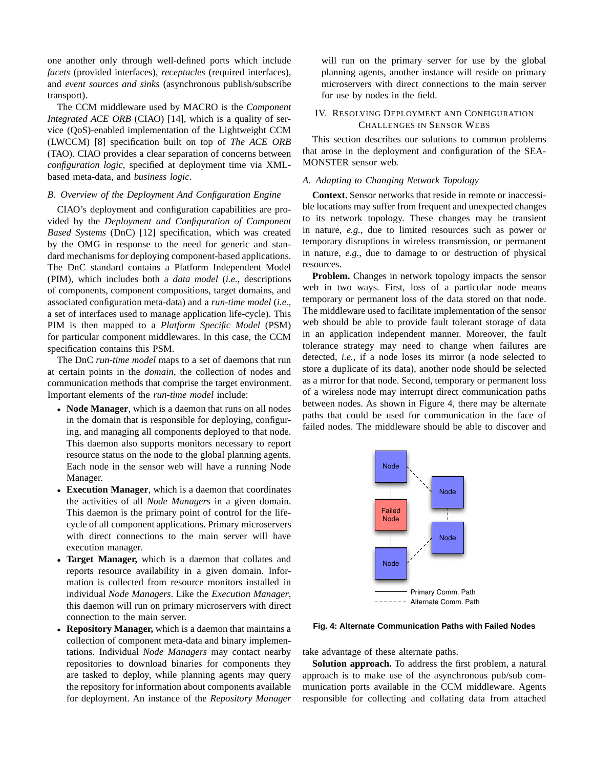one another only through well-defined ports which include *facets* (provided interfaces), *receptacles* (required interfaces), and *event sources and sinks* (asynchronous publish/subscribe transport).

The CCM middleware used by MACRO is the *Component Integrated ACE ORB* (CIAO) [14], which is a quality of service (QoS)-enabled implementation of the Lightweight CCM (LWCCM) [8] specification built on top of *The ACE ORB* (TAO). CIAO provides a clear separation of concerns between *configuration logic*, specified at deployment time via XMLbased meta-data, and *business logic*.

## *B. Overview of the Deployment And Configuration Engine*

CIAO's deployment and configuration capabilities are provided by the *Deployment and Configuration of Component Based Systems* (DnC) [12] specification, which was created by the OMG in response to the need for generic and standard mechanisms for deploying component-based applications. The DnC standard contains a Platform Independent Model (PIM), which includes both a *data model* (*i.e.*, descriptions of components, component compositions, target domains, and associated configuration meta-data) and a *run-time model* (*i.e.*, a set of interfaces used to manage application life-cycle). This PIM is then mapped to a *Platform Specific Model* (PSM) for particular component middlewares. In this case, the CCM specification contains this PSM.

The DnC *run-time model* maps to a set of daemons that run at certain points in the *domain*, the collection of nodes and communication methods that comprise the target environment. Important elements of the *run-time model* include:

- **Node Manager**, which is a daemon that runs on all nodes in the domain that is responsible for deploying, configuring, and managing all components deployed to that node. This daemon also supports monitors necessary to report resource status on the node to the global planning agents. Each node in the sensor web will have a running Node Manager.
- **Execution Manager**, which is a daemon that coordinates the activities of all *Node Managers* in a given domain. This daemon is the primary point of control for the lifecycle of all component applications. Primary microservers with direct connections to the main server will have execution manager.
- **Target Manager,** which is a daemon that collates and reports resource availability in a given domain. Information is collected from resource monitors installed in individual *Node Managers*. Like the *Execution Manager*, this daemon will run on primary microservers with direct connection to the main server.
- **Repository Manager,** which is a daemon that maintains a collection of component meta-data and binary implementations. Individual *Node Managers* may contact nearby repositories to download binaries for components they are tasked to deploy, while planning agents may query the repository for information about components available for deployment. An instance of the *Repository Manager*

will run on the primary server for use by the global planning agents, another instance will reside on primary microservers with direct connections to the main server for use by nodes in the field.

# IV. RESOLVING DEPLOYMENT AND CONFIGURATION CHALLENGES IN SENSOR WEBS

This section describes our solutions to common problems that arose in the deployment and configuration of the SEA-MONSTER sensor web.

## *A. Adapting to Changing Network Topology*

**Context.** Sensor networks that reside in remote or inaccessible locations may suffer from frequent and unexpected changes to its network topology. These changes may be transient in nature, *e.g.*, due to limited resources such as power or temporary disruptions in wireless transmission, or permanent in nature, *e.g.*, due to damage to or destruction of physical resources.

**Problem.** Changes in network topology impacts the sensor web in two ways. First, loss of a particular node means temporary or permanent loss of the data stored on that node. The middleware used to facilitate implementation of the sensor web should be able to provide fault tolerant storage of data in an application independent manner. Moreover, the fault tolerance strategy may need to change when failures are detected, *i.e.*, if a node loses its mirror (a node selected to store a duplicate of its data), another node should be selected as a mirror for that node. Second, temporary or permanent loss of a wireless node may interrupt direct communication paths between nodes. As shown in Figure 4, there may be alternate paths that could be used for communication in the face of failed nodes. The middleware should be able to discover and



**Fig. 4: Alternate Communication Paths with Failed Nodes**

take advantage of these alternate paths.

**Solution approach.** To address the first problem, a natural approach is to make use of the asynchronous pub/sub communication ports available in the CCM middleware. Agents responsible for collecting and collating data from attached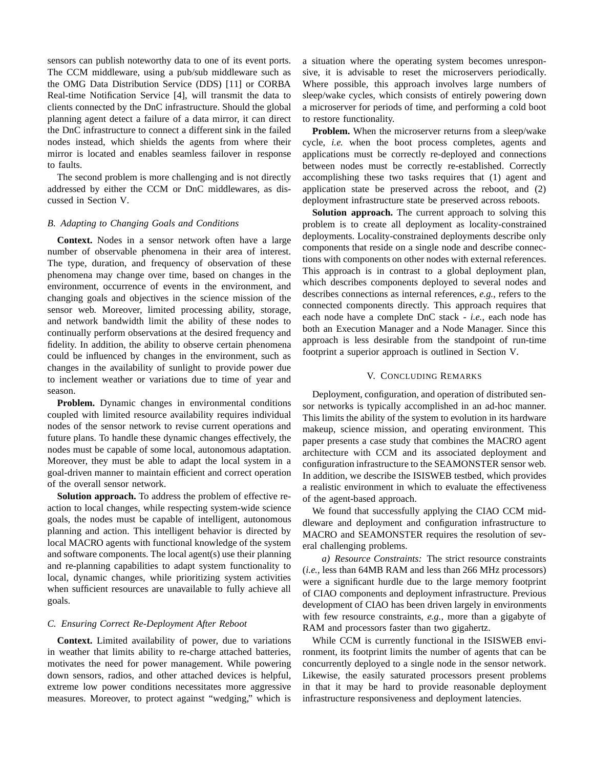sensors can publish noteworthy data to one of its event ports. The CCM middleware, using a pub/sub middleware such as the OMG Data Distribution Service (DDS) [11] or CORBA Real-time Notification Service [4], will transmit the data to clients connected by the DnC infrastructure. Should the global planning agent detect a failure of a data mirror, it can direct the DnC infrastructure to connect a different sink in the failed nodes instead, which shields the agents from where their mirror is located and enables seamless failover in response to faults.

The second problem is more challenging and is not directly addressed by either the CCM or DnC middlewares, as discussed in Section V.

# *B. Adapting to Changing Goals and Conditions*

**Context.** Nodes in a sensor network often have a large number of observable phenomena in their area of interest. The type, duration, and frequency of observation of these phenomena may change over time, based on changes in the environment, occurrence of events in the environment, and changing goals and objectives in the science mission of the sensor web. Moreover, limited processing ability, storage, and network bandwidth limit the ability of these nodes to continually perform observations at the desired frequency and fidelity. In addition, the ability to observe certain phenomena could be influenced by changes in the environment, such as changes in the availability of sunlight to provide power due to inclement weather or variations due to time of year and season.

**Problem.** Dynamic changes in environmental conditions coupled with limited resource availability requires individual nodes of the sensor network to revise current operations and future plans. To handle these dynamic changes effectively, the nodes must be capable of some local, autonomous adaptation. Moreover, they must be able to adapt the local system in a goal-driven manner to maintain efficient and correct operation of the overall sensor network.

**Solution approach.** To address the problem of effective reaction to local changes, while respecting system-wide science goals, the nodes must be capable of intelligent, autonomous planning and action. This intelligent behavior is directed by local MACRO agents with functional knowledge of the system and software components. The local agent(s) use their planning and re-planning capabilities to adapt system functionality to local, dynamic changes, while prioritizing system activities when sufficient resources are unavailable to fully achieve all goals.

## *C. Ensuring Correct Re-Deployment After Reboot*

**Context.** Limited availability of power, due to variations in weather that limits ability to re-charge attached batteries, motivates the need for power management. While powering down sensors, radios, and other attached devices is helpful, extreme low power conditions necessitates more aggressive measures. Moreover, to protect against "wedging," which is

a situation where the operating system becomes unresponsive, it is advisable to reset the microservers periodically. Where possible, this approach involves large numbers of sleep/wake cycles, which consists of entirely powering down a microserver for periods of time, and performing a cold boot to restore functionality.

**Problem.** When the microserver returns from a sleep/wake cycle, *i.e.* when the boot process completes, agents and applications must be correctly re-deployed and connections between nodes must be correctly re-established. Correctly accomplishing these two tasks requires that (1) agent and application state be preserved across the reboot, and (2) deployment infrastructure state be preserved across reboots.

**Solution approach.** The current approach to solving this problem is to create all deployment as locality-constrained deployments. Locality-constrained deployments describe only components that reside on a single node and describe connections with components on other nodes with external references. This approach is in contrast to a global deployment plan, which describes components deployed to several nodes and describes connections as internal references, *e.g.*, refers to the connected components directly. This approach requires that each node have a complete DnC stack - *i.e.*, each node has both an Execution Manager and a Node Manager. Since this approach is less desirable from the standpoint of run-time footprint a superior approach is outlined in Section V.

#### V. CONCLUDING REMARKS

Deployment, configuration, and operation of distributed sensor networks is typically accomplished in an ad-hoc manner. This limits the ability of the system to evolution in its hardware makeup, science mission, and operating environment. This paper presents a case study that combines the MACRO agent architecture with CCM and its associated deployment and configuration infrastructure to the SEAMONSTER sensor web. In addition, we describe the ISISWEB testbed, which provides a realistic environment in which to evaluate the effectiveness of the agent-based approach.

We found that successfully applying the CIAO CCM middleware and deployment and configuration infrastructure to MACRO and SEAMONSTER requires the resolution of several challenging problems.

*a) Resource Constraints:* The strict resource constraints (*i.e.*, less than 64MB RAM and less than 266 MHz processors) were a significant hurdle due to the large memory footprint of CIAO components and deployment infrastructure. Previous development of CIAO has been driven largely in environments with few resource constraints, *e.g.*, more than a gigabyte of RAM and processors faster than two gigahertz.

While CCM is currently functional in the ISISWEB environment, its footprint limits the number of agents that can be concurrently deployed to a single node in the sensor network. Likewise, the easily saturated processors present problems in that it may be hard to provide reasonable deployment infrastructure responsiveness and deployment latencies.